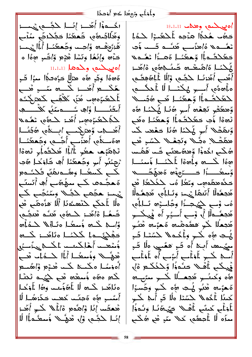ولَمُوْلَى وَرُوهُا هُوم أَوْحِدًا

اجْدِهْ أَكْفَ إِنَّ إِنَّ الْمَحْمَّدِينَ الْمَحْمَدِينَ وهَكْلاَجُدەُو، خَمعَمُمُا حَجَّكْرَجُ مُمْرَىب َفَزَوْهَ هُمَامَ وَجَعِعَمُـا ٱلْمَالَ مِــزِ حَزْهِ وِإِنَّعْا وَتَمْا هُوْمِ وَاٰحَي هِ أَا \* اهليكم ولمكرياها هُ٥٥] وِجِّرٍ ۞ه مرَّالِ حَرَّەكَّالَ مَرَّا كَـرِ كَمْكْسِعِ أَكْسِنَ كَسْسِعٍ قُسِبٍ أَلاهُدَمِهِ وهو مِنْ الْمُلَكِّمِ لَاهْتَرَجْتُ أَمْثَلُنُــــــا وُإِي مُــــــــــــه مَمْنُ كَلَمْــــــــــهِ لِمَبْكِشَبُرُهِ وَمِن أُهُدٍ لِمَسْرَةٌ مِنْ مُقْدِيد أَهْــــدٖـ وَهرَيْـــــ ابـــدُّٯ هُكِنُـــا ههَ مَنْهُم أَهْنَمَ أَجْسَمَ وَجَعِفْنَمَا لْجْهَيْم مِعْبِ أَاْبِلَا هَٰكِتُولَٰٓءِ نُوهَا ْ رَحِمْبُو أَمِرٍ وَجَعفَكْ أَفِ خَاوَكْـاً هَٰج كُبِ كُمِعُـا وِهُــومُهُمْ تُكْسُومِ ەْھجْـەما كْبْ مەمەم باھ آئىس يْهِمَ حَجّْهِمْ حَجّْمًا وَسَمْجُمْعِ كَبِ ولًا ۚ غَٰدِكُمْ حَنْعَمُهُ لَٰا أَلَّا ۚ فَزُّوهُمْ ۚ مَّى ضَعُا ةَاهَد كِمُّو هُبَّد وَ وَّاكِمْ كَسْدَةٍ وُسْعَدًا وَيُسْأَلَا كَسَفَاءُ حفْحيَن على كُحْسًا وَلَاهُــز كْـــره وُسْعِيبٍ أَهْلِكْيبٍ مَا يَكْلُمُ سَبِيرًا وَسَبَعِيدًا وَسَبَعِيدًا وَسَبَعِيدًا وَسَبَعِيدًا وَسَ قُدِيَّـــــلا وَوُسِعَٰـــا أَبَأَل كـــوَٰـات قُبــو أُهوْمُا مكْمِيْلا كُلْمَا هُجْمْ وْاْهُمْكُمْ كُمْ وَهُو وُسِعْدُه مْي لَمْكِيدْ نْحَلْهِ ەئلكىز ، كى ھ لا ئاھۇسى وھا ئادىمىل أَمِّىـــ وَوَ وَجِئَــد كَعِيد حَكَّرْهُــا لَّا قْدْهَمْسْ إِنَّا وْاهْدُهِ وْالْمَلَا كْبِير أُهْدَ }ِنُـا حَجَّـمٍ وْلِ مُحَصَّـهِ وُصعَنَـمِٱلْ لُل

18.1.11 مكص وهكرياه حهُب هُدِمًا هزْجِه لْمُحْمَّدِا حَــهُ! تَعْسَمِيا هُاهِنَمِــ هَنْــم صَّــد وَّب حعَّلاثُــه لِمُ رَحِمحُنُـــا وَمــزُا عَصْــه يُكْسًا هَاهُمِعْدِهِ خَمسُكِهِ وَاهَدِ: أَهُبٍ أَهُ;نُـا كِجُـْمٍ وْالْا £اباهَڢتُـمٍ وأردة وأولاد المستقرر الأرائك ومواسمها للطَّلَاثُــه لَمْ أَرْهِطَمُــا هُبِ هُبُمــــلا وَهِمَعَتْبِ تَجِعْمَ أَسِرِ هُنَا لَكِنَا هُ نْحَهْا وَّبَ حَكَلَتُـمِلَّا وَّحَكَنَـا هَمَّـ وَّىفَضْلا أَسِ يِّكْمَا هُ اَ حَفْعِد كُمَّ هكَشْمًا. هِيُمَا وَيُصِفْحَا لِمَسْمٍ هُم ھُكُبِ الْدَوْاْ وُهِهُ هِنَّى شَبْ قُصُب الأمس وأهوأا أكثسا وبمسار وَسِعْدُ: أحدودٌ ومَهْدَ مَسْدَمَ حَدَّە مەمّەمە وَعُمُّا ەُمَ حَكَمْهُمْ مَع لَاصِعْمَالُ أَسُمًا يُهِيرَ لِمُسَالَمَ الْمَعْمَالَ ەُب وْب كَيْجِبْزَا وِجَاسِيْهِ تَسَالِمُي هُدِهُــولَا ﴾ وْبِ أُسِيرُ أَه وْيِكْـبِر مُجعلًا لَّكِن قَمْعَهُمَا هُجَمَّةٍ هُنُّي هُـج ۞ْه كُـبِر وِلْمُـُـهِلا كَـمَمْـا فَـبِ بِمَا الله عليه في مَعْنَ اللَّهِ مَعْنَ اللَّهِ مِنْ أَسِطِ لَحْسِرِ لَمُوَلَمِنِ أَمَّهُنِ أَهْ لَمُوَلَمِنِي فَي كَمِ أَنْفُلا حَنَّهُ وَلَا وَلَحْكُمْ وَلَ 00 وكَعْشَــِي هُجْعَـــُلَّا كُـــِي مِمْنِــِـِينَ ەُھبَّىھ ھُئِر نُے ۞ مَّە لَّىرِ وَجَسبُرَا حُمِبًا غُجُوجًا حَصَّدًا وَلَا جَي أَجْ حُجِب أُوْلُمٍ كَعِنَّمٍ أَأَفَّــٰ لَا حَكَّمَّتُ وَلَا وَثَـٰدَوُّا مِمَّرَه لَّا غُجِعَقَى كَمَلا مَيْرٍ ثَمِي شَكْمٍ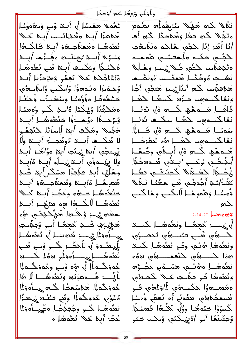وأُفِلِّعِ وَرُهِهُا ـُهُمْ أَفْحَـٰا

نْعُدُ لَا مُسْئَلِ أَبْ أَبَدْ وَبِ وَُمِيدَهُومُ ا هُدْمِدْاً أَبِيْهِ وَهُدَانُدُ أَبِيْهِ كَسِلاً لُعثَهِ هُما وَهُمِنَاجِمَةٍ أَسْلَا خَالِكُ هَٰا وَسُبَرْ الْإِسْلامْ رَجِمْلُكُ ۞ وَهُكُمُ الْإِسْلَامِ هُكْــُـٰٓا وَكُـُــفِ ٱُبِـٰدَ هُــِ نُعْهَـهُــا ة/£لمُكْتَمْ كَكَلّْ تُعِفُو وُهَزَجَزُنَا أُبِنَا وَّحِمَّنْ المَتَّمُوثُوا وَٱسْكُب وَؒٱسِلَّمَٰتِ وَٱسْتَمَامَ حشَمُّهجُــلِ هؤُوُّهمُــل وممُهُمــزُبِ وْحِمُنُــل ەھَٰٓۮڲؗٮٗڵ؋ۜٚڸػٛؽٳ؋ؙٳ؎ڋؠڮۄڔۅؙ۫ٶڡٮۢٵ وَّجِّدےاً ووَّحــزُوْا حَنُعْدَهُــا أَبِـنا هُجُمِلًا وِمُحِكْفٍ أَبَدْ لَلْمِيزُنْا لِحَنُفِهُـبِ لًا هَكْـــبِ أَبِــٰهَ هَوِهَٰدِـــزْا أَبِــٰهَ وَلًا لمَبِاً ; مِمْ أَجِمْ لِهِ مِنْ لِمَ الْمَسْرِينَ لِمَسْرِينَ لمَبَاهُ لِمَبَالَ وَأَسْرَدُ لِمَبَالَ وَقَوْمِ مِنْ الْمَابَ وِهُلْهُا أَبَدْ قَذَٰمَةُ! هِمُكْرٍ أَبَدْ شَدْ هُدمِهُـــا هَابِــٰه وِهُـعنَاجـــوَّة أَبــٰه حَىُعْدَهُمَا حَــهُ٥ وَخُجَّــ; أَبِـٰهَ خَــلا نُعْدَهُــا لَٰالحُــةُا وه محَمِّجــز أُبِــٰذِ هِعْدَهِ يَهْدَ وَجَلَابُهُ الْمَهْكُلِهِ مِنْهُ وَهِ هُدئِيءٌ فَــــمْ كَعِــهْــا أُسِر وَّحِـمَّاسِجِـ لَـــهُمَنَّهُ ﴿ لَــنَاهِمَةٌ ۖ يَـــمِنَّ الْمَوْهَ صَلَّىٰ ۖ مَا مَعَلَّمَ مَا صَلَّىٰ لْمَيْحَشُدُوْ أَنْ لْمُحَصَّدْ لَحْسِرٍ وْسَعٍ هُسَعٍ ىُعتَدِهُ فِي الْمُعْدِينُ مِنْ الْمَسْرِيلَ الْمَسْرِيمِينَ مِنْ الْمَسْرِيمِينَ مِنْ مَسْرِيمِينَ خُوفِكُـولَمَا ۖ أَن ۞ وَمِـــح وِحُوفِكُــولَمَا أُمُّ فُـــومُ نُهُ وِنُعْوَهُ صَالًا هُا لْمَوْحُدِيلًا مُدْمَعْدًا لَكِ مِنْ وَفَالَهِ الْمُحَافِظُ كَتْلَوُّى لِكُمْ فَكُمْ أَلْمَدُوكُمْ لِمَكْتَامَ بِمَكْرَةً لِمَ ىُعْدِهُـا كْـبِ وَجُجِبُاجُـا وَجَّىــرُّوفِـٰأَا ىُكِّ: *أَبِيْهِ كُمِلا يُ*عْدُم*ُهَ*ا \*

تُمْلا كُن مُدمُلا مُتَرْجُه بِأَن نصُّومِ هنَّمْلا لكْتِه تعمُّلْ وَهُدِمْحَدًا لَكُتُ أَفِّ أَمُّا أُهَّ: إِمَّا حَجَّمٍ هَاحَه وَنَجَّمَهُو لحجُلُو مَتَعْدِمٍ مَعْمَلِهِ مَعْمَلِهِ ەلْبْكِلْمَمْ، حْثِّمْ تْسْلا يْهِمْ وْهُـأْلَا ئُھْتِ ہُوجُنَّا مُعصَّنا ہُونُھُتَ هُدِهِ هِمْ مِنْ اللَّهِ إِلَيْهِ مِنْ هُمْ مِنْ أَجُلَّ وَتَقَالَكُمُوهِ فَأَرْهِ كَمِعْكَمْ لَاهُمْ تُافُّا هُــوهُمْ كُـــهِ هُ/ ثَوْنُــا تْعْلِكْسوەت حْݣَا مْكْتُو تْدَنْتَا مْدَسًا هُــدهُمْ كْـــْمْ هْلْ خُــزِيْلَ ثقائكسے مي حكيل ھُو ٽھُزجُا هُــوهُــو لِكُـــرهِ وْلِي أَبِــٰذُوبِ وَجَـبِهْــا أَمِكْمِعْصِ مُبْكَسِيٍّ الْمَسْتَمَرِّيَّةَ مِسْتَمَامَ لُجُــٰكُمْا لِــٰھَــٰکُلا لِّلْحِنُـفَـٰمِ مَعُــا تَمَّنُوْائَكِمْ أَجَّەجَّـُ مَّن حَكَّمُـا نَـٰهُلا وأدمسا وهدوها للكب وهاكب  $\sum$  $2.14.27$   $2000$ لأمك المشكوبة المتكفية فسيرش كمستشرق مثمر تشكير من تحديثها

وِنُعْدَهُا هُنُّمٍ وَجُمِ نُعْدَهُا كُنْكَ  $\cos \theta$   $\cos \theta$   $\sin \theta$ مُهْدَهُـــا وهُ نُــــهِ مِنْمَـــهُــهِ حجُـــبِهِ وِيُعْدَهُا ثَبِ تِمُسِّبِ كَلَّلا كُتْرُوهُ و وهُمصورًا حكْسِيةً وبِهِ أَاوْلَمْهُمْ وَلَيْهِ كَسمجُكِلِهُ مِجْمَعُ أَو تُعِصُ وُوسُا لِكْسُوْوا حَمَّوهُما وَوُلَّى كَلاَّهُا كَعِمْكِلَّا وُّجِنَّىنُمَّا أَبِرِ أَهْنَىكُنُمْ وُمِنْتَ حَتَّجِ